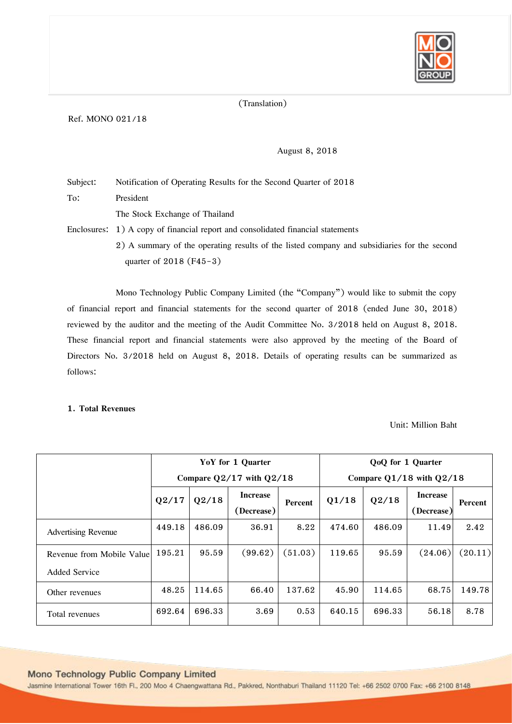

# (Translation)

# Ref. MONO 021/18

# August 8, 2018

Subject: Notification of Operating Results for the Second Quarter of 2018 To: President

The Stock Exchange of Thailand

Enclosures: 1) A copy of financial report and consolidated financial statements

2) A summary of the operating results of the listed company and subsidiaries for the second quarter of 2018 (F45-3)

Mono Technology Public Company Limited (the "Company") would like to submit the copy of financial report and financial statements for the second quarter of 2018 (ended June 30, 2018) reviewed by the auditor and the meeting of the Audit Committee No. 3/2018 held on August 8, 2018. These financial report and financial statements were also approved by the meeting of the Board of Directors No. 3/2018 held on August 8, 2018. Details of operating results can be summarized as follows:

#### **1. Total Revenues**

Unit: Million Baht

|                                                   |        |        | YoY for 1 Quarter             |         | QoQ for 1 Quarter            |        |                               |         |
|---------------------------------------------------|--------|--------|-------------------------------|---------|------------------------------|--------|-------------------------------|---------|
|                                                   |        |        | Compare $Q2/17$ with $Q2/18$  |         | Compare $Q1/18$ with $Q2/18$ |        |                               |         |
|                                                   | Q2/17  | Q2/18  | <b>Increase</b><br>(Decrease) | Percent | Q1/18                        | Q2/18  | <b>Increase</b><br>(Decrease) | Percent |
| <b>Advertising Revenue</b>                        | 449.18 | 486.09 | 36.91                         | 8.22    | 474.60                       | 486.09 | 11.49                         | 2.42    |
| Revenue from Mobile Value<br><b>Added Service</b> | 195.21 | 95.59  | (99.62)                       | (51.03) | 119.65                       | 95.59  | (24.06)                       | (20.11) |
| Other revenues                                    | 48.25  | 114.65 | 66.40                         | 137.62  | 45.90                        | 114.65 | 68.75                         | 149.78  |
| Total revenues                                    | 692.64 | 696.33 | 3.69                          | 0.53    | 640.15                       | 696.33 | 56.18                         | 8.78    |

# Mono Technology Public Company Limited

Jasmine International Tower 16th Fl., 200 Moo 4 Chaengwattana Rd., Pakkred, Nonthaburi Thailand 11120 Tel: +66 2502 0700 Fax: +66 2100 8148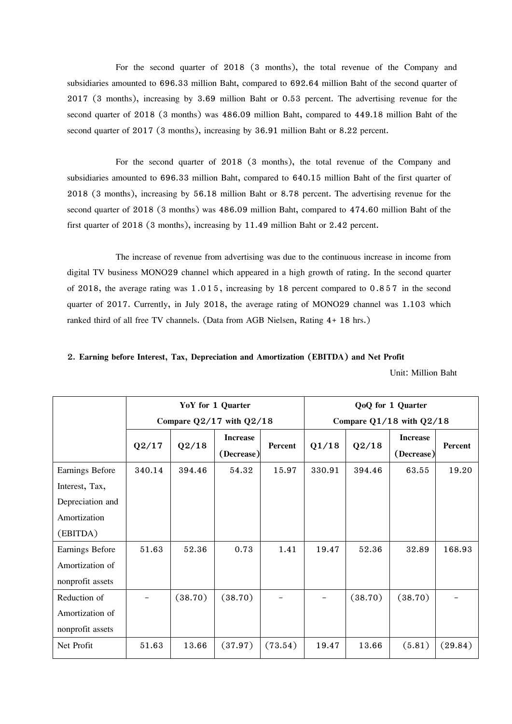For the second quarter of 2018 (3 months), the total revenue of the Company and subsidiaries amounted to 696.33 million Baht, compared to 692.64 million Baht of the second quarter of 2017 (3 months), increasing by 3.69 million Baht or 0.53 percent. The advertising revenue for the second quarter of 2018 (3 months) was 486.09 million Baht, compared to 449.18 million Baht of the second quarter of 2017 (3 months), increasing by 36.91 million Baht or 8.22 percent.

For the second quarter of 2018 (3 months), the total revenue of the Company and subsidiaries amounted to 696.33 million Baht, compared to 640.15 million Baht of the first quarter of 2018 (3 months), increasing by 56.18 million Baht or 8.78 percent. The advertising revenue for the second quarter of 2018 (3 months) was 486.09 million Baht, compared to 474.60 million Baht of the first quarter of 2018 (3 months), increasing by 11.49 million Baht or 2.42 percent.

The increase of revenue from advertising was due to the continuous increase in income from digital TV business MONO29 channel which appeared in a high growth of rating. In the second quarter of 2018, the average rating was 1.015, increasing by 18 percent compared to 0.857 in the second quarter of 2017. Currently, in July 2018, the average rating of MONO29 channel was 1.103 which ranked third of all free TV channels. (Data from AGB Nielsen, Rating 4+ 18 hrs.)

# **2. Earning before Interest, Tax, Depreciation and Amortization (EBITDA) and Net Profit**

Unit: Million Baht

|                  |        |         | YoY for 1 Quarter             |         | QoQ for 1 Quarter            |         |                               |                |  |
|------------------|--------|---------|-------------------------------|---------|------------------------------|---------|-------------------------------|----------------|--|
|                  |        |         | Compare $Q2/17$ with $Q2/18$  |         | Compare $Q1/18$ with $Q2/18$ |         |                               |                |  |
|                  | Q2/17  | Q2/18   | <b>Increase</b><br>(Decrease) | Percent | Q1/18                        | Q2/18   | <b>Increase</b><br>(Decrease) | <b>Percent</b> |  |
| Earnings Before  | 340.14 | 394.46  | 54.32                         | 15.97   | 330.91                       | 394.46  | 63.55                         | 19.20          |  |
| Interest, Tax,   |        |         |                               |         |                              |         |                               |                |  |
| Depreciation and |        |         |                               |         |                              |         |                               |                |  |
| Amortization     |        |         |                               |         |                              |         |                               |                |  |
| (EBITDA)         |        |         |                               |         |                              |         |                               |                |  |
| Earnings Before  | 51.63  | 52.36   | 0.73                          | 1.41    | 19.47                        | 52.36   | 32.89                         | 168.93         |  |
| Amortization of  |        |         |                               |         |                              |         |                               |                |  |
| nonprofit assets |        |         |                               |         |                              |         |                               |                |  |
| Reduction of     |        | (38.70) | (38.70)                       |         |                              | (38.70) | (38.70)                       |                |  |
| Amortization of  |        |         |                               |         |                              |         |                               |                |  |
| nonprofit assets |        |         |                               |         |                              |         |                               |                |  |
| Net Profit       | 51.63  | 13.66   | (37.97)                       | (73.54) | 19.47                        | 13.66   | (5.81)                        | (29.84)        |  |